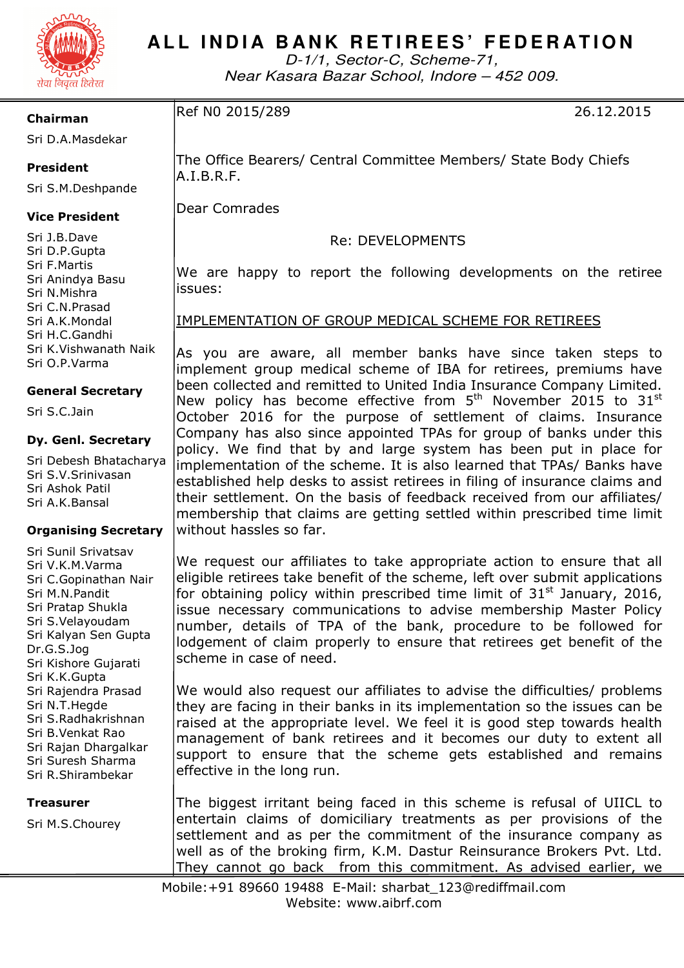

# ALL INDIA BANK RETIREES' FEDERATION

D-1/1, Sector-C, Scheme-71, Near Kasara Bazar School, Indore – 452 009.

## **Chairman**

Ref N0 2015/289 26.12.2015

Sri D.A.Masdekar

# **President**

Sri S.M.Deshpande

A.I.B.R.F.

Dear Comrades

# **Vice President**

Sri J.B.Dave Sri D.P.Gupta Sri F.Martis Sri Anindya Basu Sri N.Mishra Sri C.N.Prasad Sri A.K.Mondal Sri H.C.Gandhi Sri K.Vishwanath Naik Sri O.P.Varma

## **General Secretary**

Sri S.C.Jain

#### **Dy. Genl. Secretary**

Sri Debesh Bhatacharya Sri S.V.Srinivasan Sri Ashok Patil Sri A.K.Bansal

## **Organising Secretary**

Sri Sunil Srivatsav Sri V.K.M.Varma Sri C.Gopinathan Nair Sri M.N.Pandit Sri Pratap Shukla Sri S.Velayoudam Sri Kalyan Sen Gupta Dr.G.S.Jog Sri Kishore Gujarati Sri K.K.Gupta Sri Rajendra Prasad Sri N.T.Hegde Sri S.Radhakrishnan Sri B.Venkat Rao Sri Rajan Dhargalkar Sri Suresh Sharma Sri R.Shirambekar

**Treasurer** 

Sri M.S.Chourey

We are happy to report the following developments on the retiree issues:

Re: DEVELOPMENTS

The Office Bearers/ Central Committee Members/ State Body Chiefs

# IMPLEMENTATION OF GROUP MEDICAL SCHEME FOR RETIREES

As you are aware, all member banks have since taken steps to implement group medical scheme of IBA for retirees, premiums have been collected and remitted to United India Insurance Company Limited. New policy has become effective from  $5<sup>th</sup>$  November 2015 to 31 $<sup>st</sup>$ </sup> October 2016 for the purpose of settlement of claims. Insurance Company has also since appointed TPAs for group of banks under this policy. We find that by and large system has been put in place for implementation of the scheme. It is also learned that TPAs/ Banks have established help desks to assist retirees in filing of insurance claims and their settlement. On the basis of feedback received from our affiliates/ membership that claims are getting settled within prescribed time limit without hassles so far.

We request our affiliates to take appropriate action to ensure that all eligible retirees take benefit of the scheme, left over submit applications for obtaining policy within prescribed time limit of  $31<sup>st</sup>$  January, 2016, issue necessary communications to advise membership Master Policy number, details of TPA of the bank, procedure to be followed for lodgement of claim properly to ensure that retirees get benefit of the scheme in case of need.

We would also request our affiliates to advise the difficulties/ problems they are facing in their banks in its implementation so the issues can be raised at the appropriate level. We feel it is good step towards health management of bank retirees and it becomes our duty to extent all support to ensure that the scheme gets established and remains effective in the long run.

The biggest irritant being faced in this scheme is refusal of UIICL to entertain claims of domiciliary treatments as per provisions of the settlement and as per the commitment of the insurance company as well as of the broking firm, K.M. Dastur Reinsurance Brokers Pvt. Ltd. They cannot go back from this commitment. As advised earlier, we

Mobile:+91 89660 19488 E-Mail: sharbat\_123@rediffmail.com Website: www.aibrf.com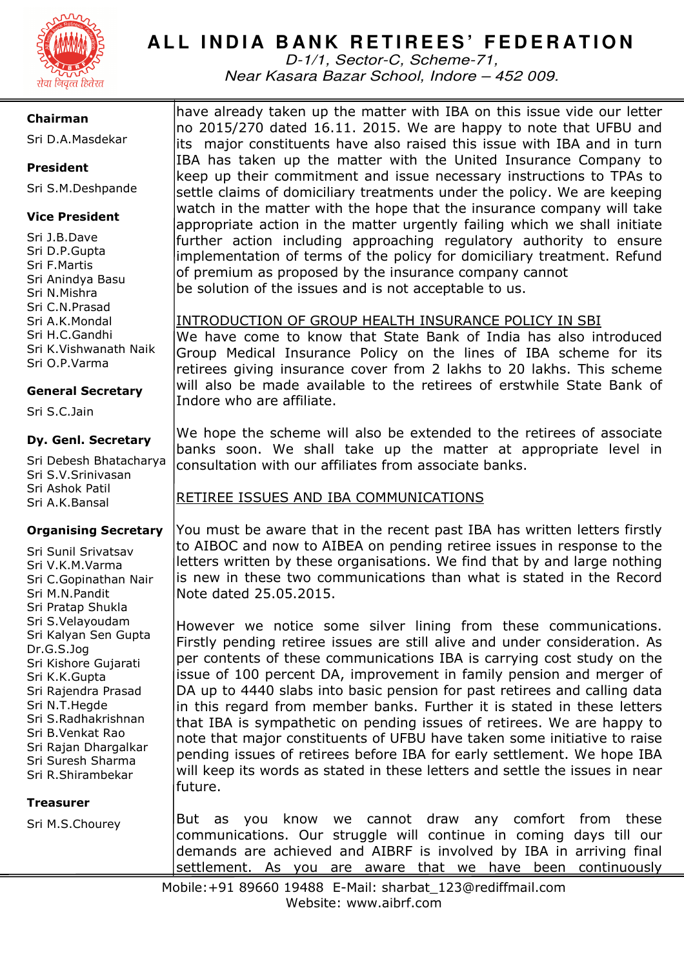

# ALL INDIA BANK RETIREES' FEDERATION

D-1/1, Sector-C, Scheme-71, Near Kasara Bazar School, Indore – 452 009.

## **Chairman**

Sri D.A.Masdekar

# **President**

Sri S.M.Deshpande

# **Vice President**

Sri J.B.Dave Sri D.P.Gupta Sri F.Martis Sri Anindya Basu Sri N.Mishra Sri C.N.Prasad Sri A.K.Mondal Sri H.C.Gandhi Sri K.Vishwanath Naik Sri O.P.Varma

# **General Secretary**

Sri S.C.Jain

#### **Dy. Genl. Secretary**

Sri Debesh Bhatacharya Sri S.V.Srinivasan Sri Ashok Patil Sri A.K.Bansal

## **Organising Secretary**

Sri Sunil Srivatsav Sri V.K.M.Varma Sri C.Gopinathan Nair Sri M.N.Pandit Sri Pratap Shukla Sri S.Velayoudam Sri Kalyan Sen Gupta Dr.G.S.Jog Sri Kishore Gujarati Sri K.K.Gupta Sri Rajendra Prasad Sri N.T.Hegde Sri S.Radhakrishnan Sri B.Venkat Rao Sri Rajan Dhargalkar Sri Suresh Sharma Sri R.Shirambekar

#### **Treasurer**

Sri M.S.Chourey

have already taken up the matter with IBA on this issue vide our letter no 2015/270 dated 16.11. 2015. We are happy to note that UFBU and its major constituents have also raised this issue with IBA and in turn IBA has taken up the matter with the United Insurance Company to keep up their commitment and issue necessary instructions to TPAs to settle claims of domiciliary treatments under the policy. We are keeping watch in the matter with the hope that the insurance company will take appropriate action in the matter urgently failing which we shall initiate further action including approaching regulatory authority to ensure implementation of terms of the policy for domiciliary treatment. Refund of premium as proposed by the insurance company cannot be solution of the issues and is not acceptable to us.

INTRODUCTION OF GROUP HEALTH INSURANCE POLICY IN SBI

We have come to know that State Bank of India has also introduced Group Medical Insurance Policy on the lines of IBA scheme for its retirees giving insurance cover from 2 lakhs to 20 lakhs. This scheme will also be made available to the retirees of erstwhile State Bank of Indore who are affiliate.

We hope the scheme will also be extended to the retirees of associate banks soon. We shall take up the matter at appropriate level in consultation with our affiliates from associate banks.

# RETIREE ISSUES AND IBA COMMUNICATIONS

You must be aware that in the recent past IBA has written letters firstly to AIBOC and now to AIBEA on pending retiree issues in response to the letters written by these organisations. We find that by and large nothing is new in these two communications than what is stated in the Record Note dated 25.05.2015.

However we notice some silver lining from these communications. Firstly pending retiree issues are still alive and under consideration. As per contents of these communications IBA is carrying cost study on the issue of 100 percent DA, improvement in family pension and merger of DA up to 4440 slabs into basic pension for past retirees and calling data in this regard from member banks. Further it is stated in these letters that IBA is sympathetic on pending issues of retirees. We are happy to note that major constituents of UFBU have taken some initiative to raise pending issues of retirees before IBA for early settlement. We hope IBA will keep its words as stated in these letters and settle the issues in near future.

But as you know we cannot draw any comfort from these communications. Our struggle will continue in coming days till our demands are achieved and AIBRF is involved by IBA in arriving final settlement. As you are aware that we have been continuously